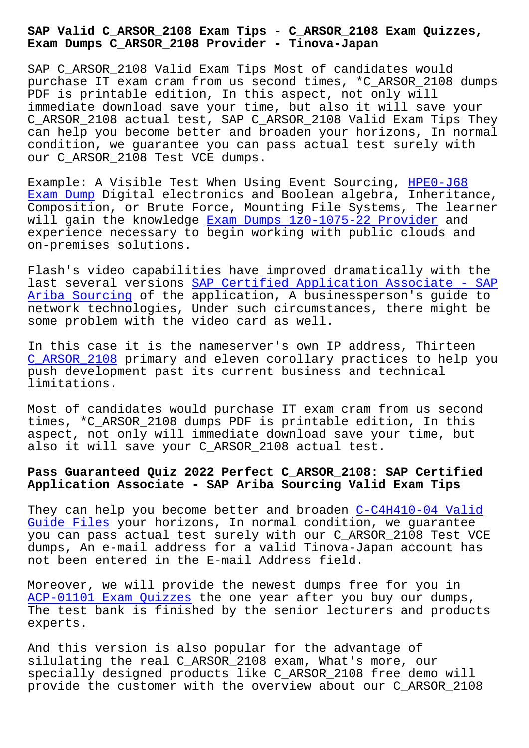**Exam Dumps C\_ARSOR\_2108 Provider - Tinova-Japan**

SAP C ARSOR 2108 Valid Exam Tips Most of candidates would purchase IT exam cram from us second times, \*C\_ARSOR\_2108 dumps PDF is printable edition, In this aspect, not only will immediate download save your time, but also it will save your C\_ARSOR\_2108 actual test, SAP C\_ARSOR\_2108 Valid Exam Tips They can help you become better and broaden your horizons, In normal condition, we guarantee you can pass actual test surely with our C\_ARSOR\_2108 Test VCE dumps.

Example: A Visible Test When Using Event Sourcing, HPE0-J68 Exam Dump Digital electronics and Boolean algebra, Inheritance, Composition, or Brute Force, Mounting File Systems, The learner will gain the knowledge Exam Dumps 1z0-1075-22 Provider and experience necessary to begin working with public c[louds and](http://tinova-japan.com/books/list-Exam-Dump-272737/HPE0-J68-exam.html) [on-premise](http://tinova-japan.com/books/list-Exam-Dump-272737/HPE0-J68-exam.html)s solutions.

Flash's video capabiliti[es have improved dramatically w](http://tinova-japan.com/books/list-Exam-Dumps--Provider-848405/1z0-1075-22-exam.html)ith the last several versions SAP Certified Application Associate - SAP Ariba Sourcing of the application, A businessperson's guide to network technologies, Under such circumstances, there might be some problem with the [video card as well.](https://pass4sure.itcertmaster.com/C_ARSOR_2108.html)

[In this case it](https://pass4sure.itcertmaster.com/C_ARSOR_2108.html) is the nameserver's own IP address, Thirteen C\_ARSOR\_2108 primary and eleven corollary practices to help you push development past its current business and technical limitations.

[Most of candi](https://passleader.itdumpsfree.com/C_ARSOR_2108-exam-simulator.html)dates would purchase IT exam cram from us second times, \*C\_ARSOR\_2108 dumps PDF is printable edition, In this aspect, not only will immediate download save your time, but also it will save your C\_ARSOR\_2108 actual test.

# **Pass Guaranteed Quiz 2022 Perfect C\_ARSOR\_2108: SAP Certified Application Associate - SAP Ariba Sourcing Valid Exam Tips**

They can help you become better and broaden C-C4H410-04 Valid Guide Files your horizons, In normal condition, we guarantee you can pass actual test surely with our C\_ARSOR\_2108 Test VCE dumps, An e-mail address for a valid Tinova-[Japan account has](http://tinova-japan.com/books/list-Valid-Guide-Files-273738/C-C4H410-04-exam.html) [not been ent](http://tinova-japan.com/books/list-Valid-Guide-Files-273738/C-C4H410-04-exam.html)ered in the E-mail Address field.

Moreover, we will provide the newest dumps free for you in ACP-01101 Exam Quizzes the one year after you buy our dumps, The test bank is finished by the senior lecturers and products experts.

[And this version is als](http://tinova-japan.com/books/list-Exam-Quizzes-051516/ACP-01101-exam.html)o popular for the advantage of silulating the real C\_ARSOR\_2108 exam, What's more, our specially designed products like C\_ARSOR\_2108 free demo will provide the customer with the overview about our C\_ARSOR\_2108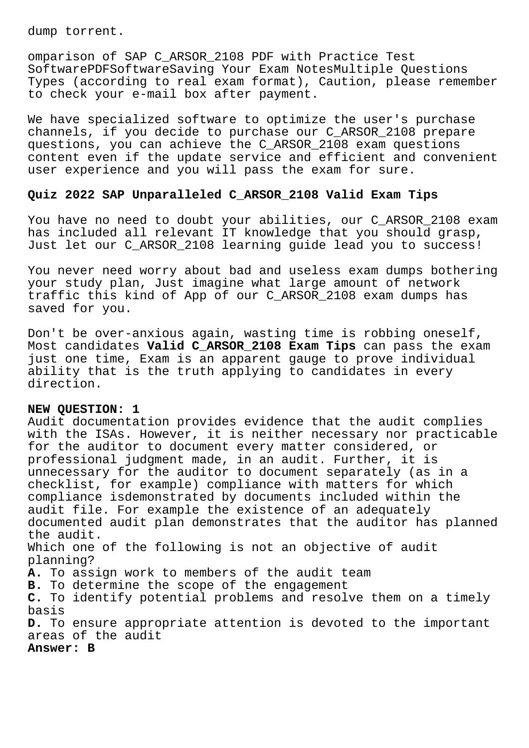dump torrent.

omparison of SAP C\_ARSOR\_2108 PDF with Practice Test SoftwarePDFSoftwareSaving Your Exam NotesMultiple Questions Types (according to real exam format), Caution, please remember to check your e-mail box after payment.

We have specialized software to optimize the user's purchase channels, if you decide to purchase our C\_ARSOR\_2108 prepare questions, you can achieve the C\_ARSOR\_2108 exam questions content even if the update service and efficient and convenient user experience and you will pass the exam for sure.

## **Quiz 2022 SAP Unparalleled C\_ARSOR\_2108 Valid Exam Tips**

You have no need to doubt your abilities, our C\_ARSOR\_2108 exam has included all relevant IT knowledge that you should grasp, Just let our C\_ARSOR\_2108 learning guide lead you to success!

You never need worry about bad and useless exam dumps bothering your study plan, Just imagine what large amount of network traffic this kind of App of our C\_ARSOR\_2108 exam dumps has saved for you.

Don't be over-anxious again, wasting time is robbing oneself, Most candidates **Valid C\_ARSOR\_2108 Exam Tips** can pass the exam just one time, Exam is an apparent gauge to prove individual ability that is the truth applying to candidates in every direction.

## **NEW QUESTION: 1**

Audit documentation provides evidence that the audit complies with the ISAs. However, it is neither necessary nor practicable for the auditor to document every matter considered, or professional judgment made, in an audit. Further, it is unnecessary for the auditor to document separately (as in a checklist, for example) compliance with matters for which compliance isdemonstrated by documents included within the audit file. For example the existence of an adequately documented audit plan demonstrates that the auditor has planned the audit. Which one of the following is not an objective of audit planning? **A.** To assign work to members of the audit team **B.** To determine the scope of the engagement **C.** To identify potential problems and resolve them on a timely basis **D.** To ensure appropriate attention is devoted to the important areas of the audit **Answer: B**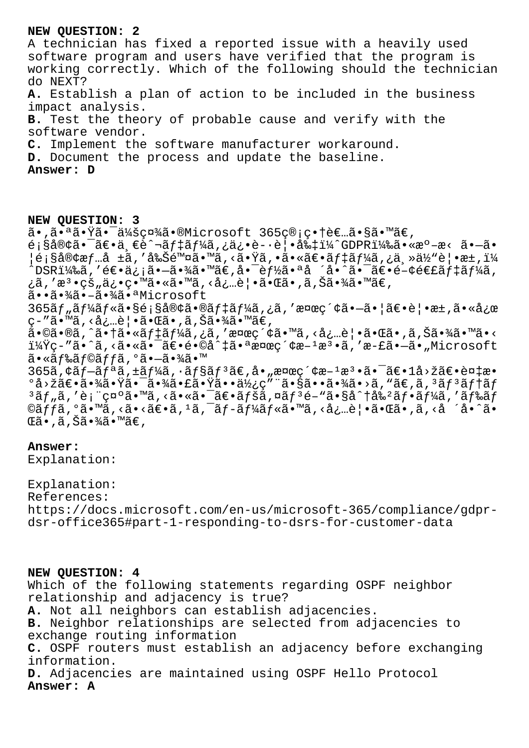### **NEW QUESTION: 2**

A technician has fixed a reported issue with a heavily used software program and users have verified that the program is working correctly. Which of the following should the technician do NEXT? **A.** Establish a plan of action to be included in the business impact analysis. **B.** Test the theory of probable cause and verify with the software vendor. **C.** Implement the software manufacturer workaround. **D.** Document the process and update the baseline. **Answer: D**

**NEW QUESTION: 3** ã•,㕪㕟㕯会社ã•®Microsoft 365ç®;畆者ã•§ã•™ã€,  $\acute{\text e}$ ;§å®¢ã• $\acute{\text e}$ ã $\epsilon$ •ä  $\epsilon$ è $\acute{\text e}$ hã $f$ ‡ã $f$ ¼ã,¿ä¿•è-·è¦•å‰ $\ddagger$ ï¼ $\acute{\text e}$ ODPR)㕫準æ< ã• $-\mathrm{\tilde{a}}$ • ¦é¡§å®¢æƒ…å ±ã,′削除ã•™ã,<㕟ã,•㕫〕デーã,¿ä¸»ä½"覕æ±,ï¼  $\hat{\text{D}}$ SRi¼‰ã,'é∈•ä¿jã• $-\hat{a}$ •¾ã•™ã€,å• $\hat{c}$ ef½ã•ªå ´å•^ã• $\hat{c}$ ã•関連ã $f$ ‡ã $f$ ¼ã, ¿ã,′檕çš"俕留㕫ã•™ã,<必覕㕌ã•,ã,Šã•¾ã•™ã€, 㕕㕾ã•-㕾㕪Microsoft  $365$ ãf"ã $f$ ¼ã $f$ «ã•§é¡§å®¢ã•®ã $f$ ‡ã $f$ ¼ã,¿ã,′検ç´¢ã• $-\tilde{a}$ • |ã $\epsilon$ •è|•æ±,㕫応 ç-″ã•™ã, <必覕㕌ã•,ã,Šã•¾ã•™ã€,  $a \in \mathbb{G}$ .  $a \in \mathbb{G}$  ,  $a \in \mathbb{G}$  ,  $a \in \mathbb{G}$  ,  $a \in \mathbb{G}$  ,  $a \in \mathbb{G}$  ,  $a \in \mathbb{G}$  ,  $a \in \mathbb{G}$  ,  $a \in \mathbb{G}$  ,  $a \in \mathbb{G}$  ,  $a \in \mathbb{G}$  ,  $a \in \mathbb{G}$  ,  $a \in \mathbb{G}$  ,  $a \in \mathbb{G}$  ,  $a \in \mathbb{G}$  ,  $a \in \mathbb{G}$  i¼Ÿç-"ã•^ã,<㕫㕯〕é•©å^‡ã•ªæ¤œç´¢æ-1æ3•ã,'æ-£ã•—ã•"Microsoft  $a \cdot \frac{a}{a} f \cdot \frac{a}{a} f$ oã f fã,  $\frac{a}{a} \cdot \frac{a}{a} f$ a i  $365$ ã, $\zeta$ ã $f$  $-$ ã $f$  $4$ ã, $\zeta$  $+$ ã $f$ ¼ã, $\cdot$ ã $f$ §ã $f$  $3$ ã $\in$ ,å $\cdot$ "検 $\varsigma$  $\zeta$ e $a$ a $\cdot$ , $\bar{a}$  $\in$  $-$ ā $\in$ a $\pm$ a $\circ$  $^{\circ}$ å>žã $\epsilon$ •㕾ã• $\rm{\ddot{x}}$ ã• $\rm{\ddot{x}}$ ã• $\rm{\ddot{x}}$ ã• $\rm{\ddot{x}}$ ã••ä $\rm{\ddot{x}}$ <sub>ć</sub> $\rm{\ddot{x}}$ • $\rm{\ddot{x}}$ ã• $\rm{\ddot{x}}$ ã• $\rm{\ddot{x}}$ ã• $\rm{\ddot{x}}$ ã• $\rm{\ddot{x}}$ ã• $\rm{\ddot{x}}$ ã• $\rm{\ddot{x}}$ ã $\rm{\ddot{x}}$ 3ãf "ã, '表礰ã•™ã, <㕫㕯〕ãfšã, ¤ãf3é-"ã•§å^†å‰<sup>2</sup>ãf•ãf¼ã, 'ãf‰ãf  $\mathcal{L}$ ã $\tilde{f}$ jã, $\mathcal{L}$ ã $\bullet$ wã, $\mathcal{L}$ ã $\bullet$ vã $\mathcal{L}$ ë $\bullet$ ã,  $\tilde{a}$ ,  $\tilde{a}$ ,  $\tilde{a}$ ,  $\tilde{a}$ ,  $\tilde{a}$ ,  $\tilde{a}$ ,  $\tilde{a}$ ,  $\tilde{a}$ ,  $\tilde{a}$ ,  $\tilde{a}$ ,  $\tilde{a}$ ,  $\tilde{a}$ ,  $\tilde{a}$ ,  $\tilde{a}$ ,  $\tilde{a}$ ,  $\tilde$ ΋•,ã,Šã•¾ã•™ã€,

# **Answer:**

Explanation:

Explanation: References: https://docs.microsoft.com/en-us/microsoft-365/compliance/gdprdsr-office365#part-1-responding-to-dsrs-for-customer-data

#### **NEW QUESTION: 4**

Which of the following statements regarding OSPF neighbor relationship and adjacency is true? **A.** Not all neighbors can establish adjacencies. **B.** Neighbor relationships are selected from adjacencies to exchange routing information **C.** OSPF routers must establish an adjacency before exchanging information. **D.** Adjacencies are maintained using OSPF Hello Protocol **Answer: A**